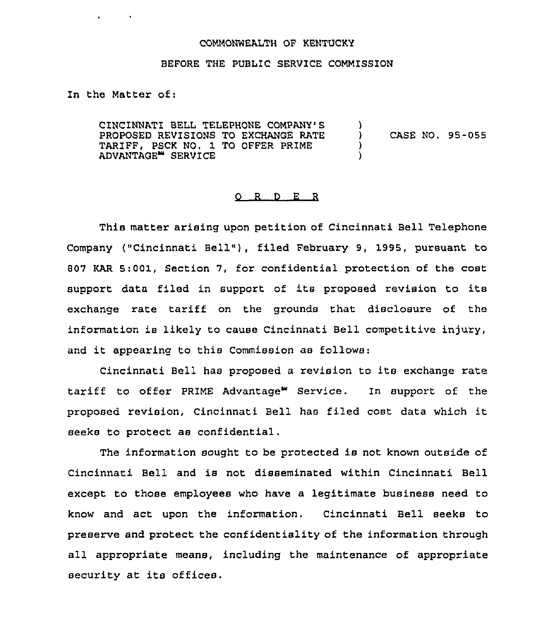## COMMONWEALTH OF KENTUCKY

## BEFORE THE PUBLIC SERVICE COMMISSION

In the Matter of:

CINCINNATI BELL TELEPHONE COMPANY'S PROPOSED REVISIONS TO EXCHANGE RATE TARIFF, PSCK NO. 1 TO OFFER PRIME ADVANTAGE<sup>\*</sup> SERVICE  $\left\{ \right\}$ ) CASE NO. 95-055 ) )

## O R D E R

This matter arising upon petition of Cincinnati Bell Telephone Company ("Cincinnati Bell"), filed February 9, 1995, pursuant to 807 KAR 5:001, Section 7, for confidential protection of the cost support data filed in support of its proposed revision to its exchange rate tariff on the grounds that disclosure of the information ie likely to cause Cincinnati Bell competitive injury, and it appearing to this Commission as follows:

Cincinnati Bell has proposed <sup>a</sup> revision to its exchange rate tariff to offer PRIME Advantage" Service. In support of the proposed revision, Cincinnati Bell has filed cost data which it seeks to protect as confidential.

The information sought to be protected is not known outside of Cincinnati Bell and is not disseminated within Cincinnati Bell except to those employees who have a legitimate business need to know and act upon the information, Cincinnati Bell seeks to preserve and protect the confidentiality of the information through all appropriate means, including the maintenance of appropriate security at its offices.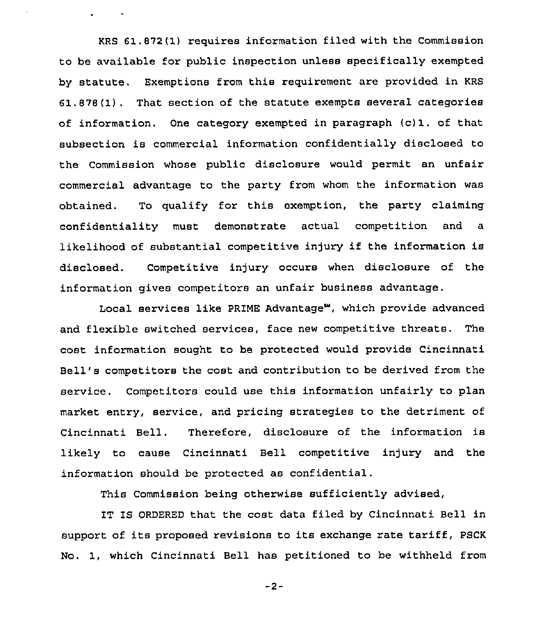KRS 61.872 (1) requires information filed with the Commission to be available for public inspection unless specifically exempted by statute. Exemptions from this requirement are provided in KRS 61.878(1). That section of the statute exempts several categories of information, One category exempted in paragraph (c)1. of that subsection is commercial information confidentially disclosed to the Commission whose public disclosure would permit an unfair commercial advantage to the party from whom the information was obtained. To qualify for this exemption, the party claiming confidentiality must demonstrate actual competition and a likelihood of substantial competitive injury if the information is disclosed. Competitive injury occurs when disclosure of the information gives competitors an unfair business advantage.

 $\mathbf{r} = \mathbf{r} \times \mathbf{r}$  .

Local services like PRIME Advantage", which provide advanced and flexible switched services, face new competitive threats, The cost information sought to be protected would provide Cincinnati Bell's competitors the cost and contribution to be derived from the service. Competitors could use this information unfairly to plan market entry, service, and pricing strategies to the detriment of Cincinnati Bell. Therefore, disclosure of the information is likely to cause Cincinnati Bell competitive injury and the information should be protected as confidential.

This Commission being otherwise sufficiently advised,

IT IS ORDERED that the cost data filed by Cincinnati Bell in support of its proposed revisions to its exchange rate tariff, PSCK No. 1, which Cincinnati Bell has petitioned to be withheld from

-2-